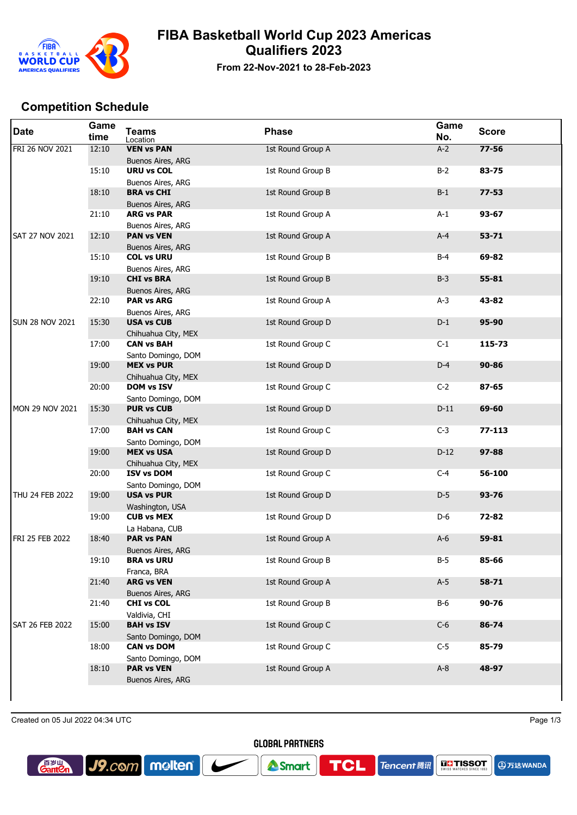

## **FIBA Basketball World Cup 2023 Americas Qualifiers 2023**

**From 22-Nov-2021 to 28-Feb-2023**

## **Competition Schedule**

| <b>Date</b>            | Game<br>time | <b>Teams</b><br>Location                      | <b>Phase</b>      | Game<br>No. | <b>Score</b> |
|------------------------|--------------|-----------------------------------------------|-------------------|-------------|--------------|
| FRI 26 NOV 2021        | 12:10        | <b>VEN vs PAN</b><br><b>Buenos Aires, ARG</b> | 1st Round Group A | $A-2$       | $77 - 56$    |
|                        | 15:10        | <b>URU vs COL</b><br>Buenos Aires, ARG        | 1st Round Group B | $B-2$       | 83-75        |
|                        | 18:10        | <b>BRA vs CHI</b><br>Buenos Aires, ARG        | 1st Round Group B | $B-1$       | $77 - 53$    |
|                        | 21:10        | <b>ARG vs PAR</b><br>Buenos Aires, ARG        | 1st Round Group A | $A-1$       | $93 - 67$    |
| <b>SAT 27 NOV 2021</b> | 12:10        | <b>PAN vs VEN</b><br>Buenos Aires, ARG        | 1st Round Group A | $A-4$       | $53 - 71$    |
|                        | 15:10        | <b>COL vs URU</b><br>Buenos Aires, ARG        | 1st Round Group B | $B-4$       | 69-82        |
|                        | 19:10        | <b>CHI vs BRA</b><br><b>Buenos Aires, ARG</b> | 1st Round Group B | $B-3$       | 55-81        |
|                        | 22:10        | <b>PAR vs ARG</b><br>Buenos Aires, ARG        | 1st Round Group A | $A-3$       | 43-82        |
| <b>SUN 28 NOV 2021</b> | 15:30        | <b>USA vs CUB</b><br>Chihuahua City, MEX      | 1st Round Group D | $D-1$       | 95-90        |
|                        | 17:00        | <b>CAN vs BAH</b><br>Santo Domingo, DOM       | 1st Round Group C | $C-1$       | 115-73       |
|                        | 19:00        | <b>MEX vs PUR</b><br>Chihuahua City, MEX      | 1st Round Group D | $D-4$       | $90 - 86$    |
|                        | 20:00        | <b>DOM vs ISV</b><br>Santo Domingo, DOM       | 1st Round Group C | $C-2$       | $87 - 65$    |
| MON 29 NOV 2021        | 15:30        | <b>PUR vs CUB</b><br>Chihuahua City, MEX      | 1st Round Group D | $D-11$      | 69-60        |
|                        | 17:00        | <b>BAH vs CAN</b><br>Santo Domingo, DOM       | 1st Round Group C | $C-3$       | $77 - 113$   |
|                        | 19:00        | <b>MEX vs USA</b><br>Chihuahua City, MEX      | 1st Round Group D | $D-12$      | 97-88        |
|                        | 20:00        | <b>ISV vs DOM</b><br>Santo Domingo, DOM       | 1st Round Group C | $C-4$       | 56-100       |
| THU 24 FEB 2022        | 19:00        | <b>USA vs PUR</b><br>Washington, USA          | 1st Round Group D | $D-5$       | $93 - 76$    |
|                        | 19:00        | <b>CUB vs MEX</b><br>La Habana, CUB           | 1st Round Group D | D-6         | 72-82        |
| FRI 25 FEB 2022        | 18:40        | <b>PAR vs PAN</b><br><b>Buenos Aires, ARG</b> | 1st Round Group A | $A-6$       | 59-81        |
|                        | 19:10        | <b>BRA vs URU</b><br>Franca, BRA              | 1st Round Group B | $B-5$       | 85-66        |
|                        | 21:40        | <b>ARG vs VEN</b><br>Buenos Aires, ARG        | 1st Round Group A | $A-5$       | 58-71        |
|                        | 21:40        | <b>CHI vs COL</b><br>Valdivia, CHI            | 1st Round Group B | $B-6$       | 90-76        |
| SAT 26 FEB 2022        | 15:00        | <b>BAH vs ISV</b><br>Santo Domingo, DOM       | 1st Round Group C | $C-6$       | 86-74        |
|                        | 18:00        | <b>CAN vs DOM</b><br>Santo Domingo, DOM       | 1st Round Group C | $C-5$       | 85-79        |
|                        | 18:10        | <b>PAR vs VEN</b><br>Buenos Aires, ARG        | 1st Round Group A | $A-8$       | 48-97        |
|                        |              |                                               |                   |             |              |

**GLOBAL PARTNERS** 

Smart

Created on 05 Jul 2022 04:34 UTC Page 1/3

J9.com molten

**A**五达WANDA

**ELE TISSOT** 

**Tencent** 腾讯

**TCL** 

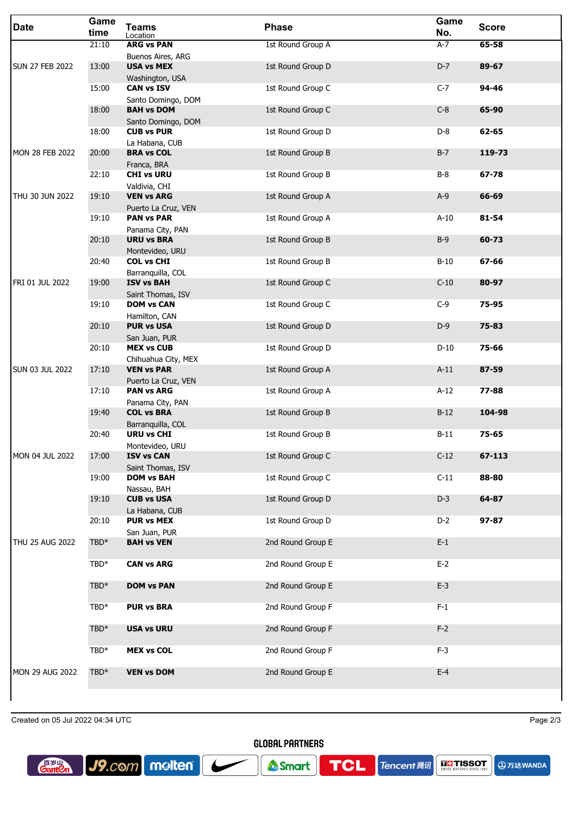| <b>Date</b>            | Game<br>time     | <b>Teams</b><br>Location                 | <b>Phase</b>      | Game<br>No. | <b>Score</b> |
|------------------------|------------------|------------------------------------------|-------------------|-------------|--------------|
|                        | 21:10            | <b>ARG vs PAN</b>                        | 1st Round Group A | $A-7$       | 65-58        |
| <b>SUN 27 FEB 2022</b> | 13:00            | Buenos Aires, ARG<br><b>USA vs MEX</b>   | 1st Round Group D | $D-7$       | 89-67        |
|                        | 15:00            | Washington, USA<br><b>CAN vs ISV</b>     | 1st Round Group C | $C-7$       | 94-46        |
|                        |                  | Santo Domingo, DOM                       |                   |             |              |
|                        | 18:00            | <b>BAH vs DOM</b><br>Santo Domingo, DOM  | 1st Round Group C | $C-8$       | 65-90        |
|                        | 18:00            | <b>CUB vs PUR</b>                        | 1st Round Group D | $D-8$       | 62-65        |
| <b>MON 28 FEB 2022</b> | 20:00            | La Habana, CUB<br><b>BRA vs COL</b>      | 1st Round Group B | $B-7$       | 119-73       |
|                        | 22:10            | Franca, BRA<br><b>CHI vs URU</b>         | 1st Round Group B | $B-8$       | 67-78        |
|                        |                  | Valdivia, CHI<br><b>VEN vs ARG</b>       |                   | $A-9$       | 66-69        |
| THU 30 JUN 2022        | 19:10            | Puerto La Cruz, VEN                      | 1st Round Group A |             |              |
|                        | 19:10            | <b>PAN vs PAR</b><br>Panama City, PAN    | 1st Round Group A | $A-10$      | 81-54        |
|                        | 20:10            | <b>URU vs BRA</b>                        | 1st Round Group B | $B-9$       | 60-73        |
|                        | 20:40            | Montevideo, URU<br><b>COL vs CHI</b>     | 1st Round Group B | $B-10$      | 67-66        |
| FRI 01 JUL 2022        | 19:00            | Barranquilla, COL<br><b>ISV vs BAH</b>   | 1st Round Group C | $C-10$      | 80-97        |
|                        | 19:10            | Saint Thomas, ISV<br><b>DOM vs CAN</b>   | 1st Round Group C | $C-9$       | 75-95        |
|                        |                  | Hamilton, CAN                            |                   |             |              |
|                        | 20:10            | <b>PUR vs USA</b><br>San Juan, PUR       | 1st Round Group D | $D-9$       | 75-83        |
|                        | 20:10            | <b>MEX vs CUB</b>                        | 1st Round Group D | $D-10$      | 75-66        |
| <b>SUN 03 JUL 2022</b> | 17:10            | Chihuahua City, MEX<br><b>VEN vs PAR</b> | 1st Round Group A | $A-11$      | 87-59        |
|                        | 17:10            | Puerto La Cruz, VEN<br><b>PAN vs ARG</b> | 1st Round Group A | $A-12$      | 77-88        |
|                        | 19:40            | Panama City, PAN<br><b>COL vs BRA</b>    | 1st Round Group B | $B-12$      | 104-98       |
|                        |                  | Barranquilla, COL                        |                   |             |              |
|                        | 20:40            | <b>URU vs CHI</b><br>Montevideo, URU     | 1st Round Group B | $B-11$      | 75-65        |
| MON 04 JUL 2022        | 17:00            | <b>ISV vs CAN</b>                        | 1st Round Group C | $C-12$      | 67-113       |
|                        | 19:00            | Saint Thomas, ISV<br><b>DOM vs BAH</b>   | 1st Round Group C | $C-11$      | 88-80        |
|                        | 19:10            | Nassau, BAH<br><b>CUB vs USA</b>         | 1st Round Group D | $D-3$       | 64-87        |
|                        | 20:10            | La Habana, CUB<br><b>PUR vs MEX</b>      | 1st Round Group D | $D-2$       | 97-87        |
|                        |                  | San Juan, PUR                            | 2nd Round Group E |             |              |
| THU 25 AUG 2022        | TBD*             | <b>BAH vs VEN</b>                        |                   | $E-1$       |              |
|                        | TBD*             | <b>CAN vs ARG</b>                        | 2nd Round Group E | $E-2$       |              |
|                        | $TBD*$           | <b>DOM vs PAN</b>                        | 2nd Round Group E | $E-3$       |              |
|                        | TBD*             | <b>PUR vs BRA</b>                        | 2nd Round Group F | $F-1$       |              |
|                        | TBD <sup>*</sup> | <b>USA vs URU</b>                        | 2nd Round Group F | $F-2$       |              |
|                        | TBD*             | <b>MEX vs COL</b>                        | 2nd Round Group F | $F-3$       |              |
|                        |                  |                                          |                   |             |              |
| <b>MON 29 AUG 2022</b> | TBD*             | <b>VEN vs DOM</b>                        | 2nd Round Group E | $E-4$       |              |
|                        |                  |                                          |                   |             |              |

Created on 05 Jul 2022 04:34 UTC Page 2/3

**A**万达WANDA



**GLOBAL PARTNERS** 

**TCL** 

**Tencent ##**  $\left|\right. \frac{1}{\text{SUNIS}}\right|$  **TISSOT** 

Smart